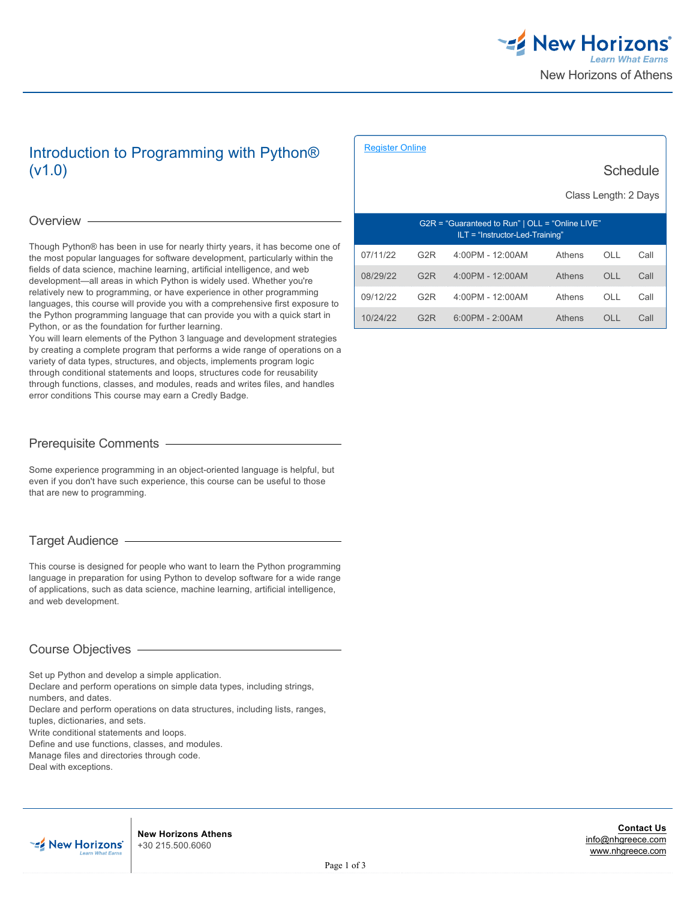

Schedule

# Introduction to Programming with Python® (v1.0)

# Overview -

Though Python® has been in use for nearly thirty years, it has become one of the most popular languages for software development, particularly within the fields of data science, machine learning, artificial intelligence, and web development—all areas in which Python is widely used. Whether you're relatively new to programming, or have experience in other programming languages, this course will provide you with a comprehensive first exposure to the Python programming language that can provide you with a quick start in Python, or as the foundation for further learning.

You will learn elements of the Python 3 language and development strategies by creating a complete program that performs a wide range of operations on a variety of data types, structures, and objects, implements program logic through conditional statements and loops, structures code for reusability through functions, classes, and modules, reads and writes files, and handles error conditions This course may earn a Credly Badge.

# Prerequisite Comments

Some experience programming in an object-oriented language is helpful, but even if you don't have such experience, this course can be useful to those that are new to programming.

# Target Audience

This course is designed for people who want to learn the Python programming language in preparation for using Python to develop software for a wide range of applications, such as data science, machine learning, artificial intelligence, and web development.

# Course Objectives

Set up Python and develop a simple application.

Declare and perform operations on simple data types, including strings, numbers, and dates.

Declare and perform operations on data structures, including lists, ranges, tuples, dictionaries, and sets.

Write conditional statements and loops.

Define and use functions, classes, and modules.

Manage files and directories through code.

Deal with exceptions.

| uu iuulu                                                                             |                  |                    |        |     |      |
|--------------------------------------------------------------------------------------|------------------|--------------------|--------|-----|------|
| Class Length: 2 Days                                                                 |                  |                    |        |     |      |
| G2R = "Guaranteed to Run"   OLL = "Online LIVE"<br>$ILT = "Instructor-Led-Training"$ |                  |                    |        |     |      |
| 07/11/22                                                                             | G <sub>2</sub> R | 4:00PM - 12:00AM   | Athens | OLL | Call |
| 08/29/22                                                                             | G <sub>2</sub> R | $4:00PM - 12:00AM$ | Athens | OLL | Call |
| 09/12/22                                                                             | G <sub>2</sub> R | 4:00PM - 12:00AM   | Athens | OLL | Call |
| 10/24/22                                                                             | G <sub>2</sub> R | $6:00PM - 2:00AM$  | Athens | OH. | Call |

[Register Online](https://www.nhgreece.com//en-us/training-and-certifications/course-outline/id/1035994092)



**New Horizons Athens** +30 215.500.6060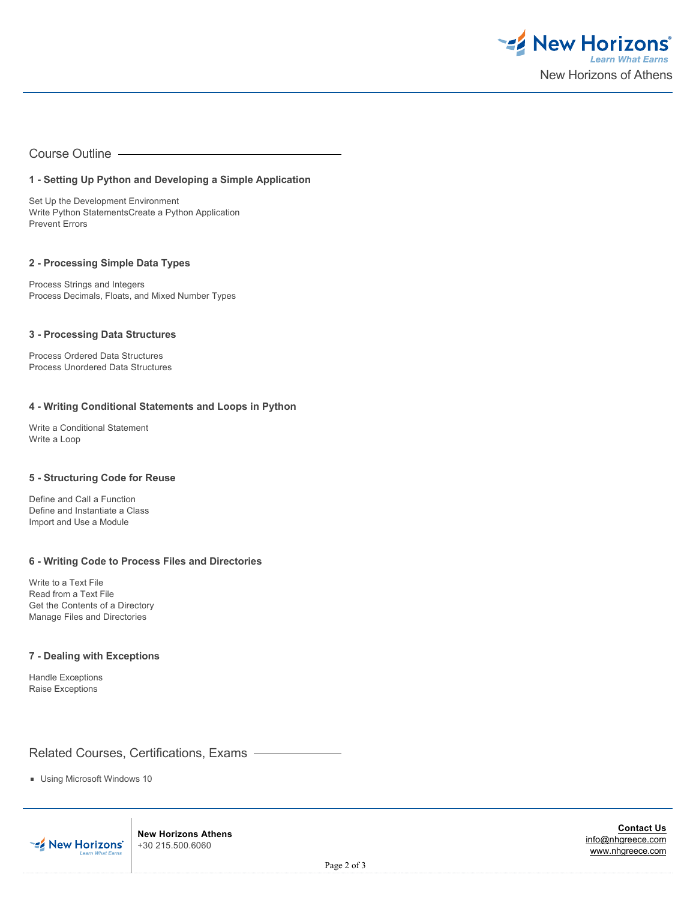

Course Outline

# **1 - Setting Up Python and Developing a Simple Application**

Set Up the Development Environment Write Python StatementsCreate a Python Application Prevent Errors

#### **2 - Processing Simple Data Types**

Process Strings and Integers Process Decimals, Floats, and Mixed Number Types

#### **3 - Processing Data Structures**

Process Ordered Data Structures Process Unordered Data Structures

# **4 - Writing Conditional Statements and Loops in Python**

Write a Conditional Statement Write a Loop

# **5 - Structuring Code for Reuse**

Define and Call a Function Define and Instantiate a Class Import and Use a Module

### **6 - Writing Code to Process Files and Directories**

Write to a Text File Read from a Text File Get the Contents of a Directory Manage Files and Directories

### **7 - Dealing with Exceptions**

Handle Exceptions Raise Exceptions

Related Courses, Certifications, Exams

Using Microsoft Windows 10



**New Horizons Athens** +30 215.500.6060